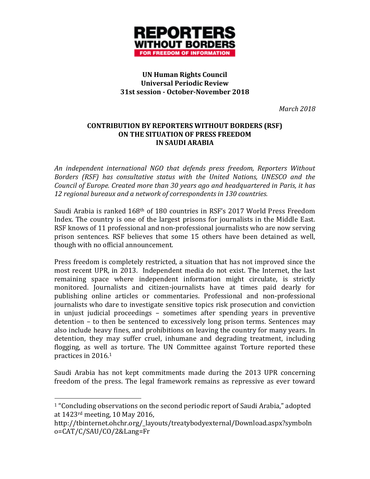

### **UN Human Rights Council Universal Periodic Review 31st session - October-November 2018**

*March 2018*

#### **CONTRIBUTION BY REPORTERS WITHOUT BORDERS (RSF) ON THE SITUATION OF PRESS FREEDOM IN SAUDI ARABIA**

*An independent international NGO that defends press freedom, Reporters Without Borders (RSF) has consultative status with the United Nations, UNESCO and the Council of Europe. Created more than 30 years ago and headquartered in Paris, it has 12 regional bureaux and a network of correspondents in 130 countries.*

Saudi Arabia is ranked 168th of 180 countries in RSF's 2017 World Press Freedom Index. The country is one of the largest prisons for journalists in the Middle East. RSF knows of 11 professional and non-professional journalists who are now serving prison sentences. RSF believes that some 15 others have been detained as well, though with no official announcement.

Press freedom is completely restricted, a situation that has not improved since the most recent UPR, in 2013. Independent media do not exist. The Internet, the last remaining space where independent information might circulate, is strictly monitored. Journalists and citizen-journalists have at times paid dearly for publishing online articles or commentaries. Professional and non-professional journalists who dare to investigate sensitive topics risk prosecution and conviction in unjust judicial proceedings – sometimes after spending years in preventive detention – to then be sentenced to excessively long prison terms. Sentences may also include heavy fines, and prohibitions on leaving the country for many years. In detention, they may suffer cruel, inhumane and degrading treatment, including flogging, as well as torture. The UN Committee against Torture reported these practices in 2016.<sup>1</sup>

Saudi Arabia has not kept commitments made during the 2013 UPR concerning freedom of the press. The legal framework remains as repressive as ever toward

 $\overline{a}$ 

<sup>&</sup>lt;sup>1</sup> "Concluding observations on the second periodic report of Saudi Arabia," adopted at 1423rd meeting, 10 May 2016,

http://tbinternet.ohchr.org/\_layouts/treatybodyexternal/Download.aspx?symboln o=CAT/C/SAU/CO/2&Lang=Fr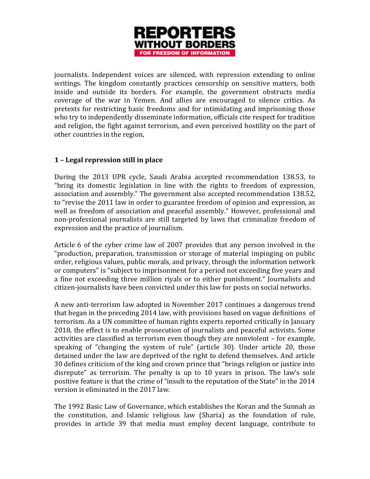

journalists. Independent voices are silenced, with repression extending to online writings. The kingdom constantly practices censorship on sensitive matters, both inside and outside its borders. For example, the government obstructs media coverage of the war in Yemen. And allies are encouraged to silence critics. As pretexts for restricting basic freedoms and for intimidating and imprisoning those who try to independently disseminate information, officials cite respect for tradition and religion, the fight against terrorism, and even perceived hostility on the part of other countries in the region,

### **1 – Legal repression still in place**

During the 2013 UPR cycle, Saudi Arabia accepted recommendation 138.53, to "bring its domestic legislation in line with the rights to freedom of expression, association and assembly." The government also accepted recommendation 138.52, to "revise the 2011 law in order to guarantee freedom of opinion and expression, as well as freedom of association and peaceful assembly." However, professional and non-professional journalists are still targeted by laws that criminalize freedom of expression and the practice of journalism.

Article 6 of the cyber crime law of 2007 provides that any person involved in the "production, preparation, transmission or storage of material impinging on public order, religious values, public morals, and privacy, through the information network or computers" is "subject to imprisonment for a period not exceeding five years and a fine not exceeding three million riyals or to either punishment." Journalists and citizen-journalists have been convicted under this law for posts on social networks.

A new anti-terrorism law adopted in November 2017 continues a dangerous trend that began in the preceding 2014 law, with provisions based on vague definitions of terrorism. As a UN committee of human rights experts reported critically in January 2018, the effect is to enable prosecution of journalists and peaceful activists. Some activities are classified as terrorism even though they are nonviolent – for example, speaking of "changing the system of rule" (article 30). Under article 20, those detained under the law are deprived of the right to defend themselves. And article 30 defines criticism of the king and crown prince that "brings religion or justice into disrepute" as terrorism. The penalty is up to 10 years in prison. The law's sole positive feature is that the crime of "insult to the reputation of the State" in the 2014 version is eliminated in the 2017 law.

The 1992 Basic Law of Governance, which establishes the Koran and the Sunnah as the constitution, and Islamic religious law (Sharia) as the foundation of rule, provides in article 39 that media must employ decent language, contribute to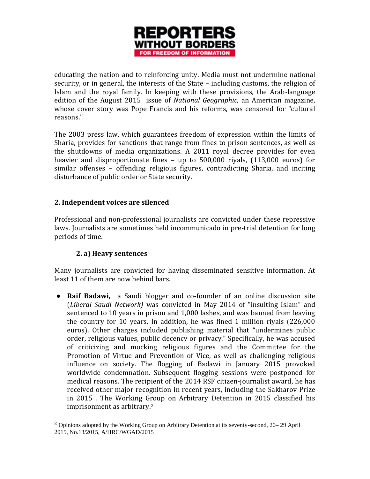

educating the nation and to reinforcing unity. Media must not undermine national security, or in general, the interests of the State – including customs, the religion of Islam and the royal family. In keeping with these provisions, the Arab-language edition of the August 2015 issue of *National Geographic,* an American magazine, whose cover story was Pope Francis and his reforms, was censored for "cultural reasons."

The 2003 press law, which guarantees freedom of expression within the limits of Sharia, provides for sanctions that range from fines to prison sentences, as well as the shutdowns of media organizations. A 2011 royal decree provides for even heavier and disproportionate fines – up to 500,000 riyals, (113,000 euros) for similar offenses – offending religious figures, contradicting Sharia, and inciting disturbance of public order or State security.

### **2. Independent voices are silenced**

Professional and non-professional journalists are convicted under these repressive laws. Journalists are sometimes held incommunicado in pre-trial detention for long periods of time.

# **2. a) Heavy sentences**

 $\overline{a}$ 

Many journalists are convicted for having disseminated sensitive information. At least 11 of them are now behind bars.

● **Raif Badawi,** a Saudi blogger and co-founder of an online discussion site (*Liberal Saudi Network)* was convicted in May 2014 of "insulting Islam" and sentenced to 10 years in prison and 1,000 lashes, and was banned from leaving the country for 10 years. In addition, he was fined 1 million riyals (226,000 euros). Other charges included publishing material that "undermines public order, religious values, public decency or privacy." Specifically, he was accused of criticizing and mocking religious figures and the Committee for the Promotion of Virtue and Prevention of Vice, as well as challenging religious influence on society. The flogging of Badawi in January 2015 provoked worldwide condemnation. Subsequent flogging sessions were postponed for medical reasons. The recipient of the 2014 RSF citizen-journalist award, he has received other major recognition in recent years, including the Sakharov Prize in 2015 . The Working Group on Arbitrary Detention in 2015 classified his imprisonment as arbitrary.<sup>2</sup>

<sup>&</sup>lt;sup>2</sup> Opinions adopted by the Working Group on Arbitrary Detention at its seventy-second, 20–29 April 2015, No.13/2015, A/HRC/WGAD/2015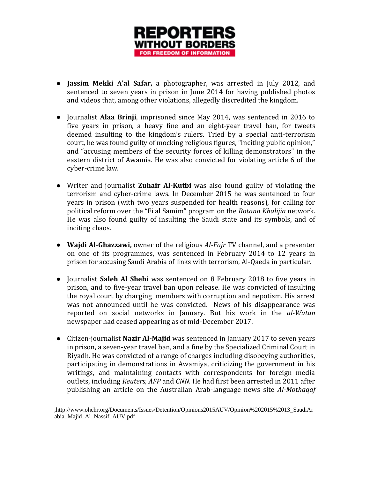

- **Jassim Mekki A'al Safar,** a photographer, was arrested in July 2012, and sentenced to seven years in prison in June 2014 for having published photos and videos that, among other violations, allegedly discredited the kingdom.
- Journalist **Alaa Brinji**, imprisoned since May 2014, was sentenced in 2016 to five years in prison, a heavy fine and an eight-year travel ban, for tweets deemed insulting to the kingdom's rulers. Tried by a special anti-terrorism court, he was found guilty of mocking religious figures, "inciting public opinion," and "accusing members of the security forces of killing demonstrators" in the eastern district of Awamia. He was also convicted for violating article 6 of the cyber-crime law.
- Writer and journalist **Zuhair Al-Kutbi** was also found guilty of violating the terrorism and cyber-crime laws. In December 2015 he was sentenced to four years in prison (with two years suspended for health reasons), for calling for political reform over the "Fi al Samim" program on the *Rotana Khalijia* network. He was also found guilty of insulting the Saudi state and its symbols, and of inciting chaos.
- **Wajdi Al-Ghazzawi,** owner of the religious *Al-Fajr* TV channel, and a presenter on one of its programmes, was sentenced in February 2014 to 12 years in prison for accusing Saudi Arabia of links with terrorism, Al-Qaeda in particular.
- Journalist **Saleh Al Shehi** was sentenced on 8 February 2018 to five years in prison, and to five-year travel ban upon release. He was convicted of insulting the royal court by charging members with corruption and nepotism. His arrest was not announced until he was convicted. News of his disappearance was reported on social networks in January. But his work in the *al-Watan* newspaper had ceased appearing as of mid-December 2017.
- Citizen-journalist **Nazir Al-Majid** was sentenced in January 2017 to seven years in prison, a seven-year travel ban, and a fine by the Specialized Criminal Court in Riyadh. He was convicted of a range of charges including disobeying authorities, participating in demonstrations in Awamiya, criticizing the government in his writings, and maintaining contacts with correspondents for foreign media outlets, including *Reuters, AFP* and *CNN.* He had first been arrested in 2011 after publishing an article on the Australian Arab-language news site *Al-Mothaqaf*

 $\overline{a}$ 

<sup>,</sup>http://www.ohchr.org/Documents/Issues/Detention/Opinions2015AUV/Opinion%202015%2013\_SaudiAr abia\_Majid\_Al\_Nassif\_AUV.pdf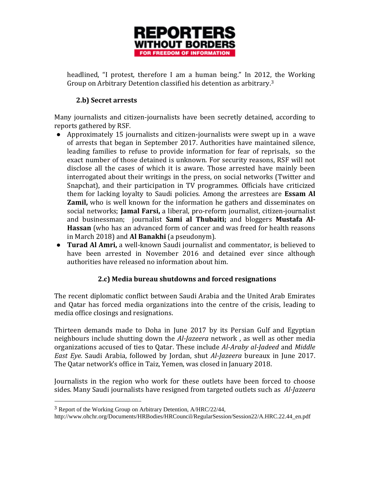

headlined, "I protest, therefore I am a human being." In 2012, the Working Group on Arbitrary Detention classified his detention as arbitrary.<sup>3</sup>

### **2.b) Secret arrests**

Many journalists and citizen-journalists have been secretly detained, according to reports gathered by RSF.

- Approximately 15 journalists and citizen-journalists were swept up in a wave of arrests that began in September 2017. Authorities have maintained silence, leading families to refuse to provide information for fear of reprisals, so the exact number of those detained is unknown. For security reasons, RSF will not disclose all the cases of which it is aware. Those arrested have mainly been interrogated about their writings in the press, on social networks (Twitter and Snapchat), and their participation in TV programmes. Officials have criticized them for lacking loyalty to Saudi policies. Among the arrestees are **Essam Al Zamil,** who is well known for the information he gathers and disseminates on social networks; **Jamal Farsi,** a liberal, pro-reform journalist, citizen-journalist and businessman; journalist **Sami al Thubaiti;** and bloggers **Mustafa Al-Hassan** (who has an advanced form of cancer and was freed for health reasons in March 2018) and **Al Banakhi** (a pseudonym).
- **Turad Al Amri,** a well-known Saudi journalist and commentator, is believed to have been arrested in November 2016 and detained ever since although authorities have released no information about him.

# **2.c) Media bureau shutdowns and forced resignations**

The recent diplomatic conflict between Saudi Arabia and the United Arab Emirates and Qatar has forced media organizations into the centre of the crisis, leading to media office closings and resignations.

Thirteen demands made to Doha in June 2017 by its Persian Gulf and Egyptian neighbours include shutting down the *Al-Jazeera* network , as well as other media organizations accused of ties to Qatar. These include *Al-Araby al-Jadeed* and *Middle East Eye.* Saudi Arabia, followed by Jordan, shut *Al-Jazeera* bureaux in June 2017. The Qatar network's office in Taiz, Yemen, was closed in January 2018.

Journalists in the region who work for these outlets have been forced to choose sides. Many Saudi journalists have resigned from targeted outlets such as *Al-Jazeera* 

l

<sup>3</sup> Report of the Working Group on Arbitrary Detention, A/HRC/22/44,

http://www.ohchr.org/Documents/HRBodies/HRCouncil/RegularSession/Session22/A.HRC.22.44\_en.pdf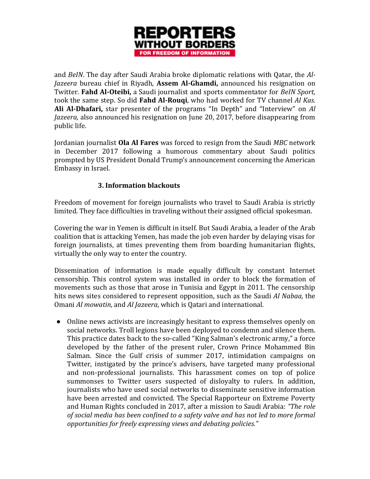

and *BeIN*. The day after Saudi Arabia broke diplomatic relations with Qatar, the *Al-Jazeera* bureau chief in Riyadh, **Assem Al-Ghamdi,** announced his resignation on Twitter. **Fahd Al-Oteibi,** a Saudi journalist and sports commentator for *BeIN Sport,*  took the same step. So did **Fahd Al-Rouqi**, who had worked for TV channel *Al Kas.*  **Ali Al-Dhafari,** star presenter of the programs "In Depth" and "Interview" on *Al Jazeera,* also announced his resignation on June 20, 2017, before disappearing from public life.

Jordanian journalist **Ola Al Fares** was forced to resign from the Saudi *MBC* network in December 2017 following a humorous commentary about Saudi politics prompted by US President Donald Trump's announcement concerning the American Embassy in Israel.

# **3. Information blackouts**

Freedom of movement for foreign journalists who travel to Saudi Arabia is strictly limited. They face difficulties in traveling without their assigned official spokesman.

Covering the war in Yemen is difficult in itself. But Saudi Arabia, a leader of the Arab coalition that is attacking Yemen, has made the job even harder by delaying visas for foreign journalists, at times preventing them from boarding humanitarian flights, virtually the only way to enter the country.

Dissemination of information is made equally difficult by constant Internet censorship. This control system was installed in order to block the formation of movements such as those that arose in Tunisia and Egypt in 2011. The censorship hits news sites considered to represent opposition, such as the Saudi *Al Nabaa,* the Omani *Al mowatin,* and *Al Jazeera,* which is Qatari and international.

● Online news activists are increasingly hesitant to express themselves openly on social networks. Troll legions have been deployed to condemn and silence them. This practice dates back to the so-called "King Salman's electronic army," a force developed by the father of the present ruler, Crown Prince Mohammed Bin Salman. Since the Gulf crisis of summer 2017, intimidation campaigns on Twitter, instigated by the prince's advisers, have targeted many professional and non-professional journalists. This harassment comes on top of police summonses to Twitter users suspected of disloyalty to rulers. In addition, journalists who have used social networks to disseminate sensitive information have been arrested and convicted. The Special Rapporteur on Extreme Poverty and Human Rights concluded in 2017, after a mission to Saudi Arabia: *"The role of social media has been confined to a safety valve and has not led to more formal opportunities for freely expressing views and debating policies."*